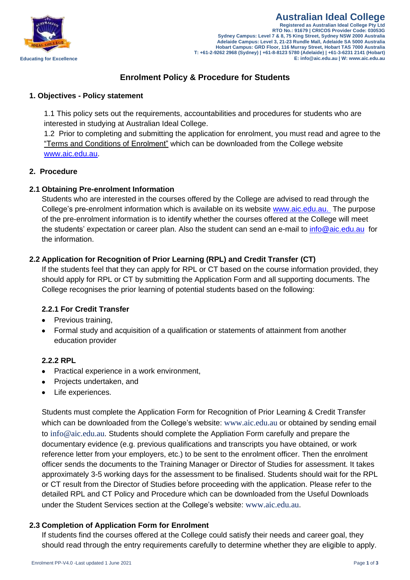

# **[Enrolment Policy & Procedure](http://www.kingstoncollege.com.au/prospective-students/offer-of-acceptance.html) for Students**

# **1. Objectives - Policy statement**

1.1 This policy sets out the requirements, accountabilities and procedures for students who are interested in studying at Australian Ideal College.

1.2 Prior to completing and submitting the application for enrolment, you must read and agree to the "Terms and Conditions of Enrolment" which can be downloaded from the College website [www.aic.edu.au.](http://www.idealcollege.com.au/)

# **2. Procedure**

# **2.1 Obtaining Pre-enrolment Information**

Students who are interested in the courses offered by the College are advised to read through the College's pre-enrolment information which is available on its website [www.aic.edu.au.](http://www.aic.edu.au./) The purpose of the pre-enrolment information is to identify whether the courses offered at the College will meet the students' expectation or career plan. Also the student can send an e-mail to [info@aic.edu.au](mailto:info@aic.edu.au) for the information.

# **2.2 Application for Recognition of Prior Learning (RPL) and Credit Transfer (CT)**

If the students feel that they can apply for RPL or CT based on the course information provided, they should apply for RPL or CT by submitting the Application Form and all supporting documents. The College recognises the prior learning of potential students based on the following:

# **2.2.1 For Credit Transfer**

- Previous training,
- Formal study and acquisition of a qualification or statements of attainment from another education provider

# **2.2.2 RPL**

- Practical experience in a work environment,
- Projects undertaken, and
- Life experiences.

Students must complete the Application Form for Recognition of Prior Learning & Credit Transfer which can be downloaded from the College's website: [www.aic.edu.au](http://www.aic.edu.au/) or obtained by sending email to [info@aic.edu.au](mailto:info@aic.edu.au). Students should complete the Appliation Form carefully and prepare the documentary evidence (e.g. previous qualifications and transcripts you have obtained, or work reference letter from your employers, etc.) to be sent to the enrolment officer. Then the enrolment officer sends the documents to the Training Manager or Director of Studies for assessment. It takes approximately 3-5 working days for the assessment to be finalised. Students should wait for the RPL or CT result from the Director of Studies before proceeding with the application. Please refer to the detailed RPL and CT Policy and Procedure which can be downloaded from the Useful Downloads under the Student Services section at the College's website: [www.aic.edu.au](http://www.aic.edu.au/).

# **2.3 Completion of Application Form for Enrolment**

If students find the courses offered at the College could satisfy their needs and career goal, they should read through the entry requirements carefully to determine whether they are eligible to apply.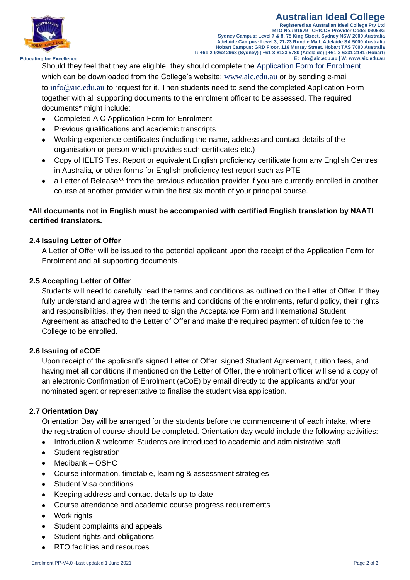

#### **Australian Ideal College Registered as Australian Ideal College Pty Ltd RTO No.: 91679 | CRICOS Provider Code: 03053G Sydney Campus: Level 7 & 8, 75 King Street, Sydney NSW 2000 Australia Adelaide Campus: Level 3, 21-23 Rundle Mall, Adelaide SA 5000 Australia Hobart Campus: GRD Floor, 116 Murray Street, Hobart TAS 7000 Australia T: +61-2-9262 2968 (Sydney) | +61-8-8123 5780 (Adelaide) | +61-3-6231 2141 (Hobart) E: info@aic.edu.au | W: www.aic.edu.au**

 **Educating for Excellence**

Should they feel that they are eligible, they should complete the Application Form for Enrolment which can be downloaded from the College's website: [www.aic.edu.au](http://www.aic.edu.au/) or by sending e-mail to [info@aic.edu.au](mailto:info@aic.edu.au) to request for it. Then students need to send the completed Application Form together with all supporting documents to the enrolment officer to be assessed. The required documents\* might include:

- Completed AIC Application Form for Enrolment
- Previous qualifications and academic transcripts
- Working experience certificates (including the name, address and contact details of the organisation or person which provides such certificates etc.)
- Copy of IELTS Test Report or equivalent English proficiency certificate from any English Centres in Australia, or other forms for English proficiency test report such as PTE
- a Letter of Release\*\* from the previous education provider if you are currently enrolled in another course at another provider within the first six month of your principal course.

# **\*All documents not in English must be accompanied with certified English translation by NAATI certified translators.**

# **2.4 Issuing Letter of Offer**

A Letter of Offer will be issued to the potential applicant upon the receipt of the Application Form for Enrolment and all supporting documents.

# **2.5 Accepting Letter of Offer**

Students will need to carefully read the terms and conditions as outlined on the Letter of Offer. If they fully understand and agree with the terms and conditions of the enrolments, refund policy, their rights and responsibilities, they then need to sign the Acceptance Form and International Student Agreement as attached to the Letter of Offer and make the required payment of tuition fee to the College to be enrolled.

# **2.6 Issuing of eCOE**

Upon receipt of the applicant's signed Letter of Offer, signed Student Agreement, tuition fees, and having met all conditions if mentioned on the Letter of Offer, the enrolment officer will send a copy of an electronic Confirmation of Enrolment (eCoE) by email directly to the applicants and/or your nominated agent or representative to finalise the student visa application.

# **2.7 Orientation Day**

Orientation Day will be arranged for the students before the commencement of each intake, where the registration of course should be completed. Orientation day would include the following activities:

- Introduction & welcome: Students are introduced to academic and administrative staff
- Student registration
- Medibank OSHC
- Course information, timetable, learning & assessment strategies
- Student Visa conditions
- Keeping address and contact details up-to-date
- Course attendance and academic course progress requirements
- Work rights
- Student complaints and appeals
- Student rights and obligations
- RTO facilities and resources